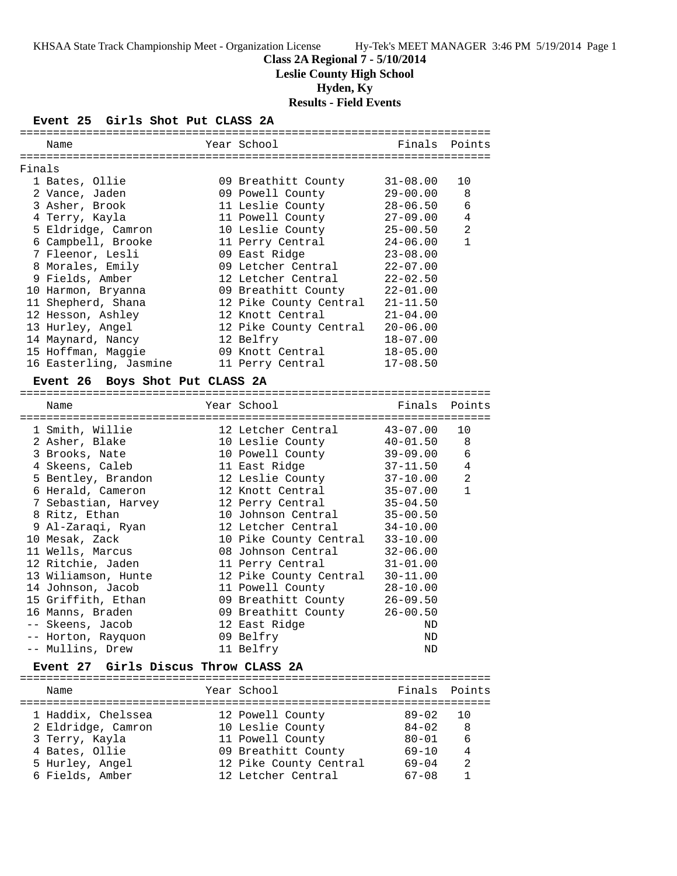# **Class 2A Regional 7 - 5/10/2014**

**Leslie County High School**

**Hyden, Ky**

**Results - Field Events**

# **Event 25 Girls Shot Put CLASS 2A**

|        | Name                                      | Year School            |               | Finals Points  |
|--------|-------------------------------------------|------------------------|---------------|----------------|
|        |                                           |                        |               |                |
| Finals |                                           |                        |               |                |
|        | 1 Bates, Ollie                            | 09 Breathitt County    | $31 - 08.00$  | 10             |
|        | 2 Vance, Jaden                            | 09 Powell County       | $29 - 00.00$  | 8              |
|        | 3 Asher, Brook                            | 11 Leslie County       | $28 - 06.50$  | 6              |
|        | 4 Terry, Kayla                            | 11 Powell County       | $27 - 09.00$  | 4              |
|        | 5 Eldridge, Camron                        | 10 Leslie County       | $25 - 00.50$  | $\overline{a}$ |
|        | 6 Campbell, Brooke                        | 11 Perry Central       | $24 - 06.00$  | $\mathbf{1}$   |
|        | 7 Fleenor, Lesli                          | 09 East Ridge          | $23 - 08.00$  |                |
|        | 8 Morales, Emily                          | 09 Letcher Central     | $22 - 07.00$  |                |
|        | 9 Fields, Amber                           | 12 Letcher Central     | $22 - 02.50$  |                |
|        | 10 Harmon, Bryanna                        | 09 Breathitt County    | $22 - 01.00$  |                |
|        | 11 Shepherd, Shana                        | 12 Pike County Central | $21 - 11.50$  |                |
|        | 12 Hesson, Ashley                         | 12 Knott Central       | $21 - 04.00$  |                |
|        | 13 Hurley, Angel                          | 12 Pike County Central | $20 - 06.00$  |                |
|        | 14 Maynard, Nancy                         | 12 Belfry              | $18 - 07.00$  |                |
|        | 15 Hoffman, Maggie                        | 09 Knott Central       | $18 - 05.00$  |                |
|        | 16 Easterling, Jasmine                    | 11 Perry Central       | $17 - 08.50$  |                |
|        | Boys Shot Put CLASS 2A<br><b>Event 26</b> |                        |               |                |
|        | Name                                      | Year School            | Finals Points |                |
|        |                                           |                        |               |                |
|        | 1 Smith, Willie                           | 12 Letcher Central     | 43-07.00      | 10             |
|        | 2 Asher, Blake                            | 10 Leslie County       | $40 - 01.50$  | 8              |
|        | 3 Brooks, Nate                            | 10 Powell County       | 39-09.00      | 6              |
|        | 4 Skeens, Caleb                           | 11 East Ridge          | $37 - 11.50$  | 4              |
|        | 5 Bentley, Brandon                        | 12 Leslie County       | 37-10.00      | 2              |
|        | 6 Herald, Cameron                         | 12 Knott Central       | $35 - 07.00$  | $\mathbf{1}$   |
|        | 7 Sebastian, Harvey                       | 12 Perry Central       | $35 - 04.50$  |                |
|        | 8 Ritz, Ethan                             | 10 Johnson Central     | $35 - 00.50$  |                |
|        | 9 Al-Zaraqi, Ryan                         | 12 Letcher Central     | $34 - 10.00$  |                |
|        | 10 Mesak, Zack                            | 10 Pike County Central | $33 - 10.00$  |                |
|        | 11 Wells, Marcus                          | 08 Johnson Central     | $32 - 06.00$  |                |
|        | 12 Ritchie, Jaden                         | 11 Perry Central       | $31 - 01.00$  |                |
|        | 13 Wiliamson, Hunte                       | 12 Pike County Central | $30 - 11.00$  |                |
|        | 14 Johnson, Jacob                         | 11 Powell County       | $28 - 10.00$  |                |
|        | 15 Griffith, Ethan                        | 09 Breathitt County    | $26 - 09.50$  |                |
|        | 16 Manns, Braden                          | 09 Breathitt County    | $26 - 00.50$  |                |
|        | -- Skeens, Jacob                          | 12 East Ridge          | ND            |                |
|        | -- Horton, Rayquon                        | 09 Belfry              | ND            |                |
|        | -- Mullins, Drew                          | 11 Belfry              | <b>ND</b>     |                |
|        | Event 27 Girls Discus Throw CLASS 2A      |                        |               |                |
|        | Nam⊖                                      | Year School Search     |               | Finale Dointe  |
|        |                                           |                        |               |                |

| Name               | Year School            | Finals Points |                |
|--------------------|------------------------|---------------|----------------|
| 1 Haddix, Chelssea | 12 Powell County       | $89 - 02$     | 10             |
| 2 Eldridge, Camron | 10 Leslie County       | $84 - 02$     | 8              |
| 3 Terry, Kayla     | 11 Powell County       | $80 - 01$     | 6              |
| 4 Bates, Ollie     | 09 Breathitt County    | $69 - 10$     | 4              |
| 5 Hurley, Angel    | 12 Pike County Central | $69 - 04$     | $\mathfrak{D}$ |
| 6 Fields, Amber    | 12 Letcher Central     | $67 - 08$     |                |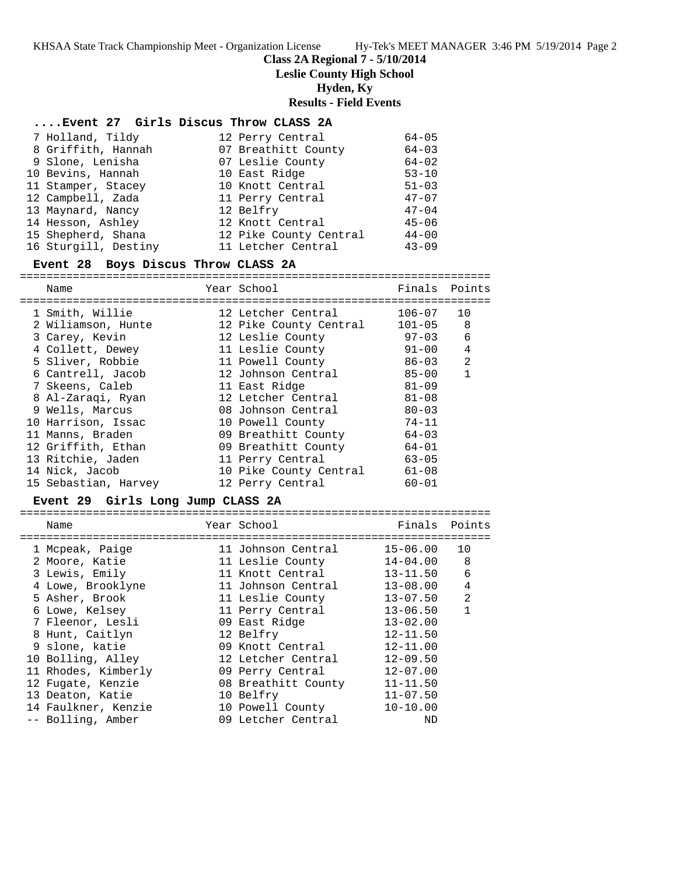#### **Class 2A Regional 7 - 5/10/2014**

**Leslie County High School**

**Hyden, Ky**

#### **Results - Field Events**

#### **....Event 27 Girls Discus Throw CLASS 2A**

| 7 Holland, Tildy     | 12 Perry Central       | $64 - 05$ |
|----------------------|------------------------|-----------|
| 8 Griffith, Hannah   | 07 Breathitt County    | $64 - 03$ |
| 9 Slone, Lenisha     | 07 Leslie County       | $64 - 02$ |
| 10 Bevins, Hannah    | 10 East Ridge          | $53 - 10$ |
| 11 Stamper, Stacey   | 10 Knott Central       | $51 - 03$ |
| 12 Campbell, Zada    | 11 Perry Central       | $47 - 07$ |
| 13 Maynard, Nancy    | 12 Belfry              | $47 - 04$ |
| 14 Hesson, Ashley    | 12 Knott Central       | $45 - 06$ |
| 15 Shepherd, Shana   | 12 Pike County Central | $44 - 00$ |
| 16 Sturgill, Destiny | 11 Letcher Central     | $43 - 09$ |

#### **Event 28 Boys Discus Throw CLASS 2A**

=======================================================================

| Name                 | Year School            | Finals     | Points         |
|----------------------|------------------------|------------|----------------|
| 1 Smith, Willie      | 12 Letcher Central     | $106 - 07$ | 10             |
| 2 Wiliamson, Hunte   | 12 Pike County Central | $101 - 05$ | 8              |
| 3 Carey, Kevin       | 12 Leslie County       | $97 - 03$  | 6              |
| 4 Collett, Dewey     | 11 Leslie County       | $91 - 00$  | $\overline{4}$ |
| 5 Sliver, Robbie     | 11 Powell County       | 86-03      | 2              |
| 6 Cantrell, Jacob    | 12 Johnson Central     | $85 - 00$  | $\mathbf{1}$   |
| 7 Skeens, Caleb      | 11 East Ridge          | $81 - 09$  |                |
| 8 Al-Zaraqi, Ryan    | 12 Letcher Central     | $81 - 08$  |                |
| 9 Wells, Marcus      | 08 Johnson Central     | $80 - 03$  |                |
| 10 Harrison, Issac   | 10 Powell County       | $74 - 11$  |                |
| 11 Manns, Braden     | 09 Breathitt County    | $64 - 03$  |                |
| 12 Griffith, Ethan   | 09 Breathitt County    | $64 - 01$  |                |
| 13 Ritchie, Jaden    | 11 Perry Central       | $63 - 05$  |                |
| 14 Nick, Jacob       | 10 Pike County Central | $61 - 08$  |                |
| 15 Sebastian, Harvey | 12 Perry Central       | $60 - 01$  |                |

# **Event 29 Girls Long Jump CLASS 2A**

| Name                | Year School         | Finals Points |                |
|---------------------|---------------------|---------------|----------------|
|                     |                     |               |                |
| 1 Mcpeak, Paige     | 11 Johnson Central  | $15 - 06.00$  | 10             |
| 2 Moore, Katie      | 11 Leslie County    | $14 - 04.00$  | 8              |
| 3 Lewis, Emily      | 11 Knott Central    | 13-11.50      | 6              |
| 4 Lowe, Brooklyne   | 11 Johnson Central  | $13 - 08.00$  | 4              |
| 5 Asher, Brook      | 11 Leslie County    | $13 - 07.50$  | $\mathfrak{D}$ |
| 6 Lowe, Kelsey      | 11 Perry Central    | $13 - 06.50$  | $\mathbf{1}$   |
| 7 Fleenor, Lesli    | 09 East Ridge       | $13 - 02.00$  |                |
| 8 Hunt, Caitlyn     | 12 Belfry           | $12 - 11.50$  |                |
| 9 slone, katie      | 09 Knott Central    | $12 - 11.00$  |                |
| 10 Bolling, Alley   | 12 Letcher Central  | $12 - 09.50$  |                |
| 11 Rhodes, Kimberly | 09 Perry Central    | $12 - 07.00$  |                |
| 12 Fugate, Kenzie   | 08 Breathitt County | $11 - 11.50$  |                |
| 13 Deaton, Katie    | 10 Belfry           | $11 - 07.50$  |                |
| 14 Faulkner, Kenzie | 10 Powell County    | $10 - 10.00$  |                |
| -- Bolling, Amber   | 09 Letcher Central  | ND            |                |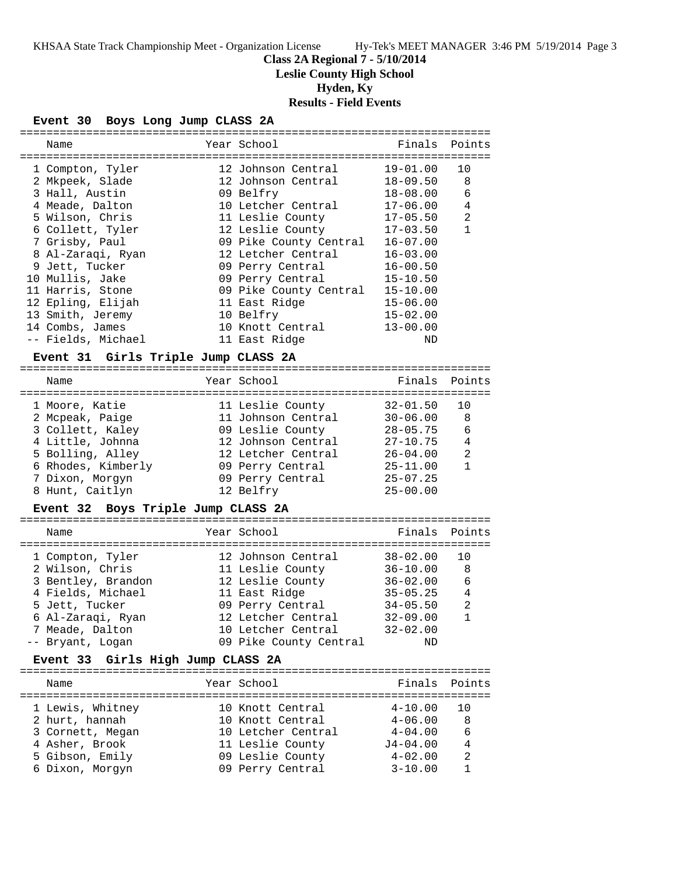# **Class 2A Regional 7 - 5/10/2014**

**Leslie County High School**

**Hyden, Ky**

**Results - Field Events**

#### **Event 30 Boys Long Jump CLASS 2A**

| Name                                | Year School            | Finals Points  |                |
|-------------------------------------|------------------------|----------------|----------------|
| =================================== |                        |                |                |
| 1 Compton, Tyler                    | 12 Johnson Central     | $19 - 01.00$   | 10             |
| 2 Mkpeek, Slade                     | 12 Johnson Central     | $18 - 09.50$   | 8              |
| 3 Hall, Austin                      | 09 Belfry              | $18 - 08.00$   | 6              |
| 4 Meade, Dalton                     | 10 Letcher Central     | $17 - 06.00$   | $\overline{4}$ |
| 5 Wilson, Chris                     | 11 Leslie County       | $17 - 05.50$   | $\overline{2}$ |
| 6 Collett, Tyler                    | 12 Leslie County       | $17 - 03.50$   | $\mathbf{1}$   |
| 7 Grisby, Paul                      | 09 Pike County Central | $16 - 07.00$   |                |
| 8 Al-Zaraqi, Ryan                   | 12 Letcher Central     | $16 - 03.00$   |                |
| 9 Jett, Tucker                      | 09 Perry Central       | $16 - 00.50$   |                |
| 10 Mullis, Jake                     | 09 Perry Central       | $15 - 10.50$   |                |
| 11 Harris, Stone                    | 09 Pike County Central | $15 - 10.00$   |                |
| 12 Epling, Elijah                   | 11 East Ridge          | $15 - 06.00$   |                |
| 13 Smith, Jeremy                    | 10 Belfry              | $15 - 02.00$   |                |
| 14 Combs, James                     | 10 Knott Central       | $13 - 00.00$   |                |
| -- Fields, Michael                  | 11 East Ridge          | ND             |                |
| Event 31 Girls Triple Jump CLASS 2A |                        |                |                |
|                                     |                        |                |                |
| Name                                | Year School            | Finals         | Points         |
|                                     |                        |                |                |
| 1 Moore, Katie                      | 11 Leslie County       | $32 - 01.50$   | 10             |
| 2 Mcpeak, Paige                     | 11 Johnson Central     | $30 - 06.00$   | 8              |
| 3 Collett, Kaley                    | 09 Leslie County       | $28 - 05.75$   | 6              |
| 4 Little, Johnna                    | 12 Johnson Central     | 27-10.75       | $\overline{4}$ |
| 5 Bolling, Alley                    | 12 Letcher Central     | 26-04.00       | $\overline{2}$ |
| 6 Rhodes, Kimberly                  | 09 Perry Central       | $25 - 11.00$   | $\mathbf{1}$   |
| 7 Dixon, Morgyn                     | 09 Perry Central       | $25 - 07.25$   |                |
| 8 Hunt, Caitlyn                     | 12 Belfry              | $25 - 00.00$   |                |
| Event 32 Boys Triple Jump CLASS 2A  |                        |                |                |
|                                     |                        |                |                |
| Name                                | Year School            | Finals         | Points         |
|                                     |                        | 20, 20, 20, 30 |                |

| 1 Compton, Tyler   | 12 Johnson Central     | $38 - 02.00$ | 10             |
|--------------------|------------------------|--------------|----------------|
| 2 Wilson, Chris    | 11 Leslie County       | $36 - 10.00$ | - 8            |
| 3 Bentley, Brandon | 12 Leslie County       | $36 - 02.00$ | -6             |
| 4 Fields, Michael  | 11 East Ridge          | $35 - 05.25$ | $\overline{4}$ |
| 5 Jett, Tucker     | 09 Perry Central       | $34 - 05.50$ | 2              |
| 6 Al-Zaraqi, Ryan  | 12 Letcher Central     | $32 - 09.00$ | $\mathbf{1}$   |
| 7 Meade, Dalton    | 10 Letcher Central     | $32 - 02.00$ |                |
| -- Bryant, Logan   | 09 Pike County Central | ND           |                |

# **Event 33 Girls High Jump CLASS 2A**

| Name             | Year School        | Finals Points |                |
|------------------|--------------------|---------------|----------------|
| 1 Lewis, Whitney | 10 Knott Central   | $4 - 10.00$   | 1 O            |
| 2 hurt, hannah   | 10 Knott Central   | $4 - 06.00$   | 8              |
| 3 Cornett, Megan | 10 Letcher Central | $4 - 04.00$   | 6              |
| 4 Asher, Brook   | 11 Leslie County   | $J4 - 04.00$  | $\overline{4}$ |
| 5 Gibson, Emily  | 09 Leslie County   | $4 - 02.00$   | $\mathfrak{D}$ |
| 6 Dixon, Morgyn  | 09 Perry Central   | $3 - 10.00$   |                |
|                  |                    |               |                |